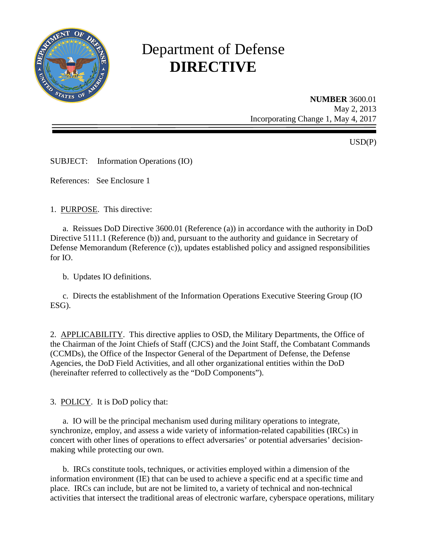

# Department of Defense **DIRECTIVE**

**NUMBER** 3600.01 May 2, 2013 Incorporating Change 1, May 4, 2017

USD(P)

SUBJECT: Information Operations (IO)

References: See Enclosure 1

1. PURPOSE. This directive:

a. Reissues DoD Directive 3600.01 (Reference (a)) in accordance with the authority in DoD Directive 5111.1 (Reference (b)) and, pursuant to the authority and guidance in Secretary of Defense Memorandum (Reference (c)), updates established policy and assigned responsibilities for IO.

b. Updates IO definitions.

c. Directs the establishment of the Information Operations Executive Steering Group (IO ESG).

2. APPLICABILITY. This directive applies to OSD, the Military Departments, the Office of the Chairman of the Joint Chiefs of Staff (CJCS) and the Joint Staff, the Combatant Commands (CCMDs), the Office of the Inspector General of the Department of Defense, the Defense Agencies, the DoD Field Activities, and all other organizational entities within the DoD (hereinafter referred to collectively as the "DoD Components").

3. POLICY. It is DoD policy that:

a. IO will be the principal mechanism used during military operations to integrate, synchronize, employ, and assess a wide variety of information-related capabilities (IRCs) in concert with other lines of operations to effect adversaries' or potential adversaries' decisionmaking while protecting our own.

b. IRCs constitute tools, techniques, or activities employed within a dimension of the information environment (IE) that can be used to achieve a specific end at a specific time and place. IRCs can include, but are not be limited to, a variety of technical and non-technical activities that intersect the traditional areas of electronic warfare, cyberspace operations, military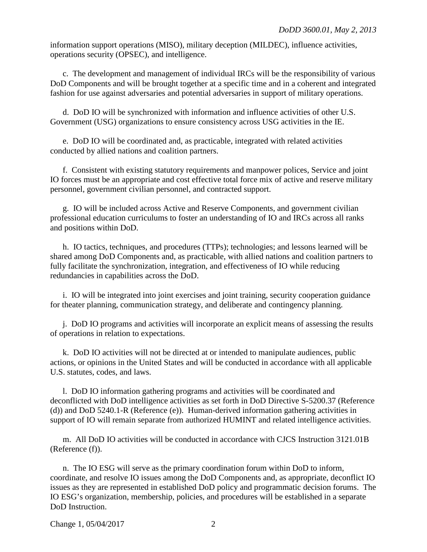information support operations (MISO), military deception (MILDEC), influence activities, operations security (OPSEC), and intelligence.

c. The development and management of individual IRCs will be the responsibility of various DoD Components and will be brought together at a specific time and in a coherent and integrated fashion for use against adversaries and potential adversaries in support of military operations.

d. DoD IO will be synchronized with information and influence activities of other U.S. Government (USG) organizations to ensure consistency across USG activities in the IE.

e. DoD IO will be coordinated and, as practicable, integrated with related activities conducted by allied nations and coalition partners.

f. Consistent with existing statutory requirements and manpower polices, Service and joint IO forces must be an appropriate and cost effective total force mix of active and reserve military personnel, government civilian personnel, and contracted support.

g. IO will be included across Active and Reserve Components, and government civilian professional education curriculums to foster an understanding of IO and IRCs across all ranks and positions within DoD.

h. IO tactics, techniques, and procedures (TTPs); technologies; and lessons learned will be shared among DoD Components and, as practicable, with allied nations and coalition partners to fully facilitate the synchronization, integration, and effectiveness of IO while reducing redundancies in capabilities across the DoD.

i. IO will be integrated into joint exercises and joint training, security cooperation guidance for theater planning, communication strategy, and deliberate and contingency planning.

j. DoD IO programs and activities will incorporate an explicit means of assessing the results of operations in relation to expectations.

k. DoD IO activities will not be directed at or intended to manipulate audiences, public actions, or opinions in the United States and will be conducted in accordance with all applicable U.S. statutes, codes, and laws.

l. DoD IO information gathering programs and activities will be coordinated and deconflicted with DoD intelligence activities as set forth in DoD Directive S-5200.37 (Reference (d)) and DoD 5240.1-R (Reference (e)). Human-derived information gathering activities in support of IO will remain separate from authorized HUMINT and related intelligence activities.

 m. All DoD IO activities will be conducted in accordance with CJCS Instruction 3121.01B (Reference (f)).

 n. The IO ESG will serve as the primary coordination forum within DoD to inform, coordinate, and resolve IO issues among the DoD Components and, as appropriate, deconflict IO issues as they are represented in established DoD policy and programmatic decision forums. The IO ESG's organization, membership, policies, and procedures will be established in a separate DoD Instruction.

Change 1, 05/04/2017 2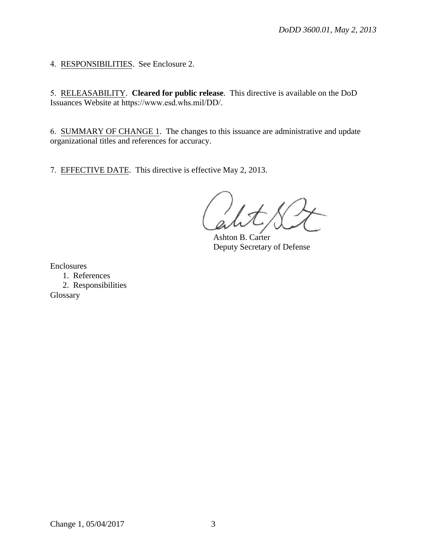4. RESPONSIBILITIES. See Enclosure 2.

5. RELEASABILITY. **Cleared for public release**. This directive is available on the DoD Issuances Website at [https://www.esd.whs.mil/DD/](http://www.esd.whs.mil/DD/).

6. SUMMARY OF CHANGE 1. The changes to this issuance are administrative and update organizational titles and references for accuracy.

7. EFFECTIVE DATE. This directive is effective May 2, 2013.

Ashton B. Carter Deputy Secretary of Defense

Enclosures

1. References 2. Responsibilities

Glossary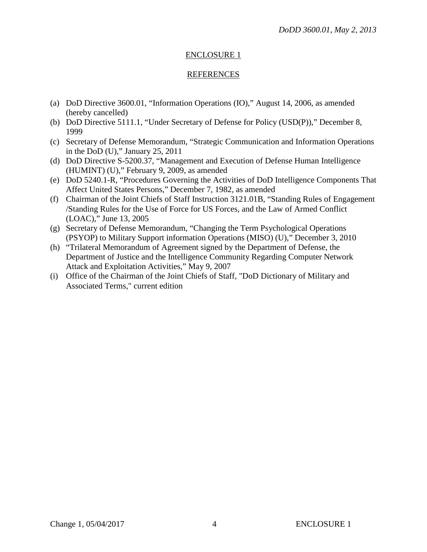#### ENCLOSURE 1

#### REFERENCES

- (a) DoD Directive 3600.01, "Information Operations (IO)," August 14, 2006, as amended (hereby cancelled)
- (b) DoD Directive 5111.1, "Under Secretary of Defense for Policy (USD(P))," December 8, 1999
- (c) Secretary of Defense Memorandum, "Strategic Communication and Information Operations in the DoD (U)," January 25, 2011
- (d) DoD Directive S-5200.37, "Management and Execution of Defense Human Intelligence (HUMINT) (U)," February 9, 2009, as amended
- (e) DoD 5240.1-R, "Procedures Governing the Activities of DoD Intelligence Components That Affect United States Persons," December 7, 1982, as amended
- (f) Chairman of the Joint Chiefs of Staff Instruction 3121.01B, "Standing Rules of Engagement /Standing Rules for the Use of Force for US Forces, and the Law of Armed Conflict (LOAC)," June 13, 2005
- (g) Secretary of Defense Memorandum, "Changing the Term Psychological Operations (PSYOP) to Military Support information Operations (MISO) (U)," December 3, 2010
- (h) "Trilateral Memorandum of Agreement signed by the Department of Defense, the Department of Justice and the Intelligence Community Regarding Computer Network Attack and Exploitation Activities," May 9, 2007
- (i) Office of the Chairman of the Joint Chiefs of Staff, "DoD Dictionary of Military and Associated Terms," current edition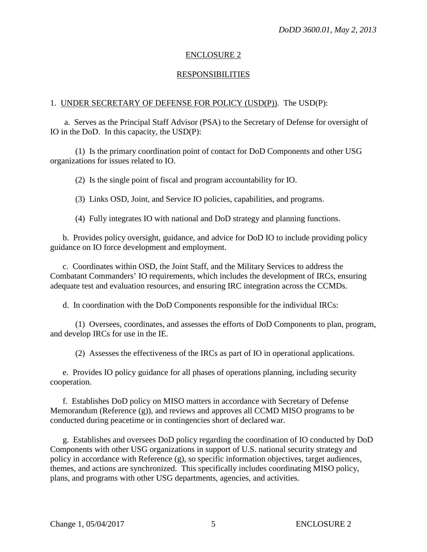#### ENCLOSURE 2

#### RESPONSIBILITIES

#### 1. UNDER SECRETARY OF DEFENSE FOR POLICY (USD(P)). The USD(P):

a. Serves as the Principal Staff Advisor (PSA) to the Secretary of Defense for oversight of IO in the DoD. In this capacity, the USD(P):

(1) Is the primary coordination point of contact for DoD Components and other USG organizations for issues related to IO.

(2) Is the single point of fiscal and program accountability for IO.

(3) Links OSD, Joint, and Service IO policies, capabilities, and programs.

(4) Fully integrates IO with national and DoD strategy and planning functions.

b. Provides policy oversight, guidance, and advice for DoD IO to include providing policy guidance on IO force development and employment.

c. Coordinates within OSD, the Joint Staff, and the Military Services to address the Combatant Commanders' IO requirements, which includes the development of IRCs, ensuring adequate test and evaluation resources, and ensuring IRC integration across the CCMDs.

d. In coordination with the DoD Components responsible for the individual IRCs:

 (1) Oversees, coordinates, and assesses the efforts of DoD Components to plan, program, and develop IRCs for use in the IE.

(2) Assesses the effectiveness of the IRCs as part of IO in operational applications.

e. Provides IO policy guidance for all phases of operations planning, including security cooperation.

f. Establishes DoD policy on MISO matters in accordance with Secretary of Defense Memorandum (Reference (g)), and reviews and approves all CCMD MISO programs to be conducted during peacetime or in contingencies short of declared war.

g. Establishes and oversees DoD policy regarding the coordination of IO conducted by DoD Components with other USG organizations in support of U.S. national security strategy and policy in accordance with Reference (g), so specific information objectives, target audiences, themes, and actions are synchronized. This specifically includes coordinating MISO policy, plans, and programs with other USG departments, agencies, and activities.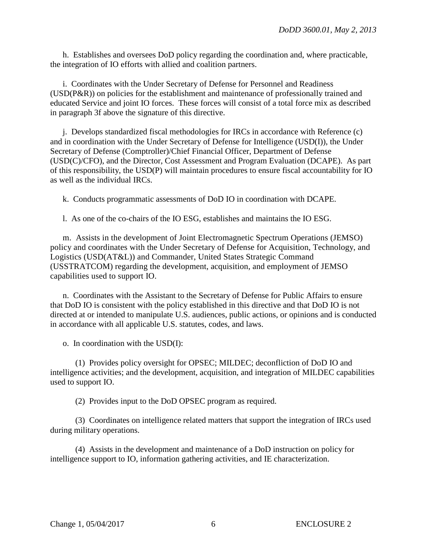h. Establishes and oversees DoD policy regarding the coordination and, where practicable, the integration of IO efforts with allied and coalition partners.

i. Coordinates with the Under Secretary of Defense for Personnel and Readiness (USD(P&R)) on policies for the establishment and maintenance of professionally trained and educated Service and joint IO forces. These forces will consist of a total force mix as described in paragraph 3f above the signature of this directive.

j. Develops standardized fiscal methodologies for IRCs in accordance with Reference (c) and in coordination with the Under Secretary of Defense for Intelligence (USD(I)), the Under Secretary of Defense (Comptroller)/Chief Financial Officer, Department of Defense (USD(C)/CFO), and the Director, Cost Assessment and Program Evaluation (DCAPE). As part of this responsibility, the USD(P) will maintain procedures to ensure fiscal accountability for IO as well as the individual IRCs.

k. Conducts programmatic assessments of DoD IO in coordination with DCAPE.

l. As one of the co-chairs of the IO ESG, establishes and maintains the IO ESG.

m. Assists in the development of Joint Electromagnetic Spectrum Operations (JEMSO) policy and coordinates with the Under Secretary of Defense for Acquisition, Technology, and Logistics (USD(AT&L)) and Commander, United States Strategic Command (USSTRATCOM) regarding the development, acquisition, and employment of JEMSO capabilities used to support IO.

n. Coordinates with the Assistant to the Secretary of Defense for Public Affairs to ensure that DoD IO is consistent with the policy established in this directive and that DoD IO is not directed at or intended to manipulate U.S. audiences, public actions, or opinions and is conducted in accordance with all applicable U.S. statutes, codes, and laws.

o. In coordination with the USD(I):

(1) Provides policy oversight for OPSEC; MILDEC; deconfliction of DoD IO and intelligence activities; and the development, acquisition, and integration of MILDEC capabilities used to support IO.

(2) Provides input to the DoD OPSEC program as required.

(3) Coordinates on intelligence related matters that support the integration of IRCs used during military operations.

 (4) Assists in the development and maintenance of a DoD instruction on policy for intelligence support to IO, information gathering activities, and IE characterization.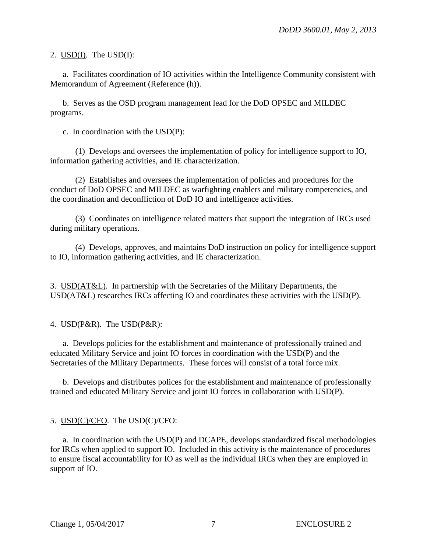#### 2. USD(I). The USD(I):

a. Facilitates coordination of IO activities within the Intelligence Community consistent with Memorandum of Agreement (Reference (h)).

b. Serves as the OSD program management lead for the DoD OPSEC and MILDEC programs.

c. In coordination with the USD(P):

(1) Develops and oversees the implementation of policy for intelligence support to IO, information gathering activities, and IE characterization.

(2) Establishes and oversees the implementation of policies and procedures for the conduct of DoD OPSEC and MILDEC as warfighting enablers and military competencies, and the coordination and deconfliction of DoD IO and intelligence activities.

(3) Coordinates on intelligence related matters that support the integration of IRCs used during military operations.

(4) Develops, approves, and maintains DoD instruction on policy for intelligence support to IO, information gathering activities, and IE characterization.

3. USD(AT&L). In partnership with the Secretaries of the Military Departments, the USD(AT&L) researches IRCs affecting IO and coordinates these activities with the USD(P).

4. USD(P&R). The USD(P&R):

a. Develops policies for the establishment and maintenance of professionally trained and educated Military Service and joint IO forces in coordination with the USD(P) and the Secretaries of the Military Departments. These forces will consist of a total force mix.

b. Develops and distributes polices for the establishment and maintenance of professionally trained and educated Military Service and joint IO forces in collaboration with USD(P).

#### 5. USD(C)/CFO. The USD(C)/CFO:

a. In coordination with the USD(P) and DCAPE, develops standardized fiscal methodologies for IRCs when applied to support IO. Included in this activity is the maintenance of procedures to ensure fiscal accountability for IO as well as the individual IRCs when they are employed in support of IO.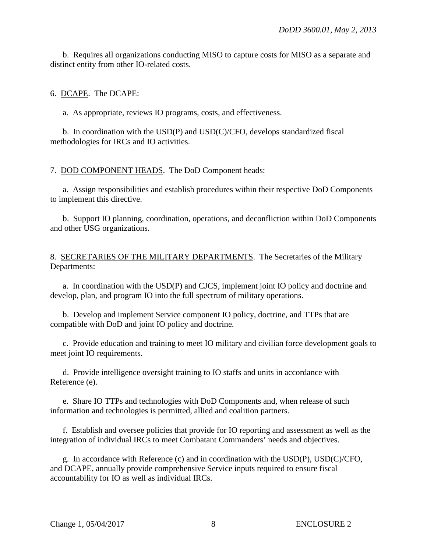b. Requires all organizations conducting MISO to capture costs for MISO as a separate and distinct entity from other IO-related costs.

#### 6. DCAPE. The DCAPE:

a. As appropriate, reviews IO programs, costs, and effectiveness.

 b. In coordination with the USD(P) and USD(C)/CFO, develops standardized fiscal methodologies for IRCs and IO activities.

#### 7. DOD COMPONENT HEADS. The DoD Component heads:

a. Assign responsibilities and establish procedures within their respective DoD Components to implement this directive.

b. Support IO planning, coordination, operations, and deconfliction within DoD Components and other USG organizations.

#### 8. SECRETARIES OF THE MILITARY DEPARTMENTS. The Secretaries of the Military Departments:

a. In coordination with the USD(P) and CJCS, implement joint IO policy and doctrine and develop, plan, and program IO into the full spectrum of military operations.

b. Develop and implement Service component IO policy, doctrine, and TTPs that are compatible with DoD and joint IO policy and doctrine.

c. Provide education and training to meet IO military and civilian force development goals to meet joint IO requirements.

d. Provide intelligence oversight training to IO staffs and units in accordance with Reference (e).

e. Share IO TTPs and technologies with DoD Components and, when release of such information and technologies is permitted, allied and coalition partners.

f. Establish and oversee policies that provide for IO reporting and assessment as well as the integration of individual IRCs to meet Combatant Commanders' needs and objectives.

g. In accordance with Reference (c) and in coordination with the USD(P), USD(C)/CFO, and DCAPE, annually provide comprehensive Service inputs required to ensure fiscal accountability for IO as well as individual IRCs.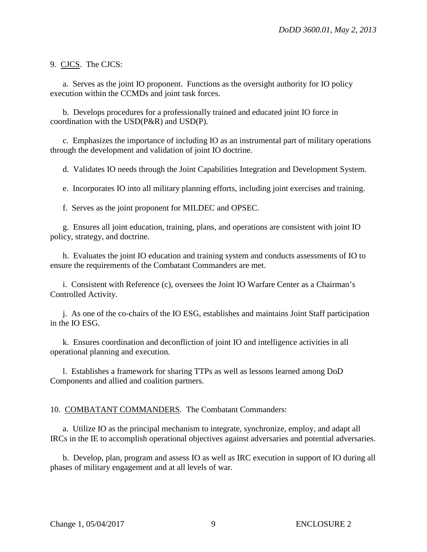9. CJCS. The CJCS:

a. Serves as the joint IO proponent. Functions as the oversight authority for IO policy execution within the CCMDs and joint task forces.

b. Develops procedures for a professionally trained and educated joint IO force in coordination with the USD(P&R) and USD(P).

c. Emphasizes the importance of including IO as an instrumental part of military operations through the development and validation of joint IO doctrine.

d. Validates IO needs through the Joint Capabilities Integration and Development System.

e. Incorporates IO into all military planning efforts, including joint exercises and training.

f. Serves as the joint proponent for MILDEC and OPSEC.

g. Ensures all joint education, training, plans, and operations are consistent with joint IO policy, strategy, and doctrine.

h. Evaluates the joint IO education and training system and conducts assessments of IO to ensure the requirements of the Combatant Commanders are met.

i. Consistent with Reference (c), oversees the Joint IO Warfare Center as a Chairman's Controlled Activity.

j. As one of the co-chairs of the IO ESG, establishes and maintains Joint Staff participation in the IO ESG.

k. Ensures coordination and deconfliction of joint IO and intelligence activities in all operational planning and execution.

l. Establishes a framework for sharing TTPs as well as lessons learned among DoD Components and allied and coalition partners.

#### 10. COMBATANT COMMANDERS. The Combatant Commanders:

a. Utilize IO as the principal mechanism to integrate, synchronize, employ, and adapt all IRCs in the IE to accomplish operational objectives against adversaries and potential adversaries.

b. Develop, plan, program and assess IO as well as IRC execution in support of IO during all phases of military engagement and at all levels of war.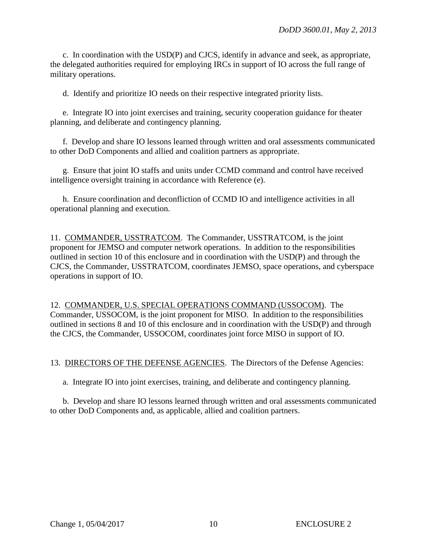c. In coordination with the USD(P) and CJCS, identify in advance and seek, as appropriate, the delegated authorities required for employing IRCs in support of IO across the full range of military operations.

d. Identify and prioritize IO needs on their respective integrated priority lists.

e. Integrate IO into joint exercises and training, security cooperation guidance for theater planning, and deliberate and contingency planning.

f. Develop and share IO lessons learned through written and oral assessments communicated to other DoD Components and allied and coalition partners as appropriate.

g. Ensure that joint IO staffs and units under CCMD command and control have received intelligence oversight training in accordance with Reference (e).

h. Ensure coordination and deconfliction of CCMD IO and intelligence activities in all operational planning and execution.

11. COMMANDER, USSTRATCOM. The Commander, USSTRATCOM, is the joint proponent for JEMSO and computer network operations. In addition to the responsibilities outlined in section 10 of this enclosure and in coordination with the USD(P) and through the CJCS, the Commander, USSTRATCOM, coordinates JEMSO, space operations, and cyberspace operations in support of IO.

12. COMMANDER, U.S. SPECIAL OPERATIONS COMMAND (USSOCOM). The Commander, USSOCOM, is the joint proponent for MISO. In addition to the responsibilities outlined in sections 8 and 10 of this enclosure and in coordination with the USD(P) and through the CJCS, the Commander, USSOCOM, coordinates joint force MISO in support of IO.

13. DIRECTORS OF THE DEFENSE AGENCIES. The Directors of the Defense Agencies:

a. Integrate IO into joint exercises, training, and deliberate and contingency planning.

b. Develop and share IO lessons learned through written and oral assessments communicated to other DoD Components and, as applicable, allied and coalition partners.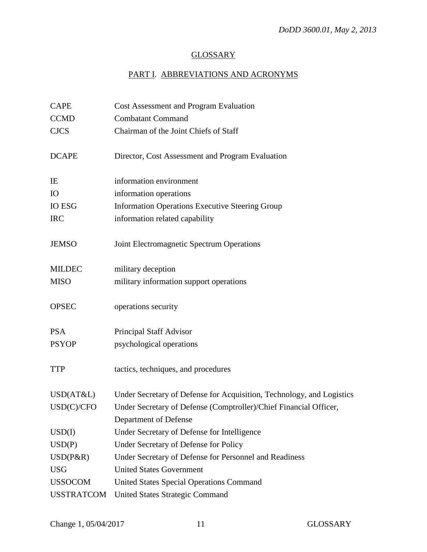## **GLOSSARY**

# PART I. ABBREVIATIONS AND ACRONYMS

| <b>CAPE</b>       | Cost Assessment and Program Evaluation                                |
|-------------------|-----------------------------------------------------------------------|
| <b>CCMD</b>       | <b>Combatant Command</b>                                              |
| <b>CJCS</b>       | Chairman of the Joint Chiefs of Staff                                 |
|                   |                                                                       |
| <b>DCAPE</b>      | Director, Cost Assessment and Program Evaluation                      |
| IE                | information environment                                               |
| IO                | information operations                                                |
| <b>IO ESG</b>     | <b>Information Operations Executive Steering Group</b>                |
| <b>IRC</b>        | information related capability                                        |
| <b>JEMSO</b>      | Joint Electromagnetic Spectrum Operations                             |
| <b>MILDEC</b>     | military deception                                                    |
| <b>MISO</b>       | military information support operations                               |
| <b>OPSEC</b>      | operations security                                                   |
| <b>PSA</b>        | Principal Staff Advisor                                               |
| <b>PSYOP</b>      | psychological operations                                              |
| <b>TTP</b>        | tactics, techniques, and procedures                                   |
| USD(AT&L)         | Under Secretary of Defense for Acquisition, Technology, and Logistics |
| USD(C)/CFO        | Under Secretary of Defense (Comptroller)/Chief Financial Officer,     |
|                   | Department of Defense                                                 |
| USD(I)            | Under Secretary of Defense for Intelligence                           |
| USD(P)            | Under Secretary of Defense for Policy                                 |
| $USD(P\&R)$       | Under Secretary of Defense for Personnel and Readiness                |
| <b>USG</b>        | <b>United States Government</b>                                       |
| <b>USSOCOM</b>    | <b>United States Special Operations Command</b>                       |
| <b>USSTRATCOM</b> | <b>United States Strategic Command</b>                                |